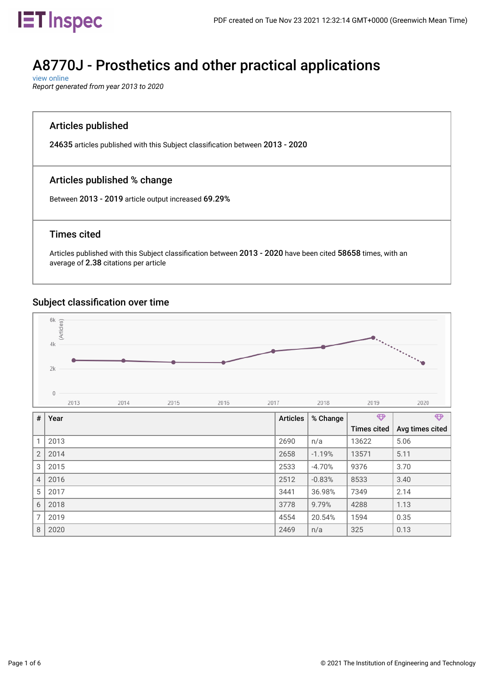

### A8770J - Prosthetics and other practical applications

 [view online](https://inspec-analytics-app.theiet.org/#/subject_classifications/1814) *Report generated from year 2013 to 2020*

### Articles published

24635 articles published with this Subject classifcation between 2013 - 2020

### Articles published % change

Between 2013 - 2019 article output increased 69.29%

#### Times cited

Articles published with this Subject classifcation between 2013 - 2020 have been cited 58658 times, with an average of 2.38 citations per article

### Subject classification over time



7 2019 4554 20.54% 1594 0.35 8 2020 2469 n/a 325 0.13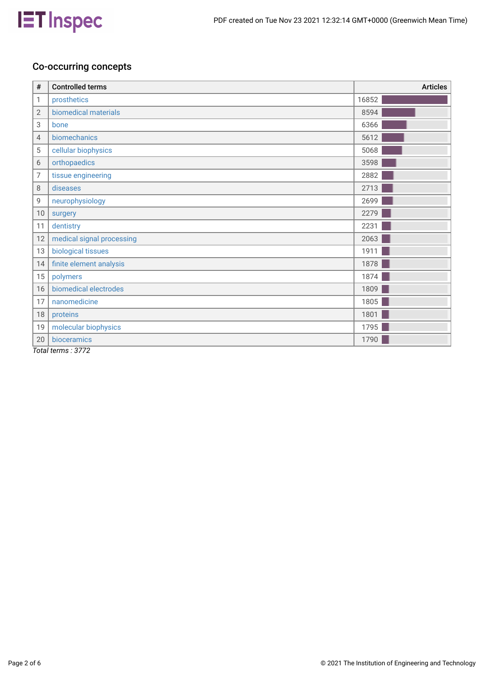

### Co-occurring concepts

| $\#$           | <b>Controlled terms</b>                                                                                          | <b>Articles</b> |
|----------------|------------------------------------------------------------------------------------------------------------------|-----------------|
| 1              | prosthetics                                                                                                      | 16852           |
| $\overline{2}$ | biomedical materials                                                                                             | 8594            |
| 3              | bone                                                                                                             | 6366            |
| 4              | biomechanics                                                                                                     | 5612            |
| 5              | cellular biophysics                                                                                              | 5068            |
| 6              | orthopaedics                                                                                                     | 3598            |
| $\overline{7}$ | tissue engineering                                                                                               | 2882            |
| 8              | diseases                                                                                                         | 2713            |
| 9              | neurophysiology                                                                                                  | 2699            |
| 10             | surgery                                                                                                          | 2279            |
| 11             | dentistry                                                                                                        | 2231            |
| 12             | medical signal processing                                                                                        | 2063            |
| 13             | biological tissues                                                                                               | 1911            |
| 14             | finite element analysis                                                                                          | 1878            |
| 15             | polymers                                                                                                         | 1874            |
| 16             | biomedical electrodes                                                                                            | 1809            |
| 17             | nanomedicine                                                                                                     | 1805            |
| 18             | proteins                                                                                                         | 1801            |
| 19             | molecular biophysics                                                                                             | 1795            |
| 20             | bioceramics                                                                                                      | 1790            |
|                | $T_{\text{eff}}$ $\downarrow$ $\downarrow$ $\downarrow$ $\downarrow$ $\uparrow$ $\uparrow$ $\uparrow$ $\uparrow$ |                 |

*Total terms : 3772*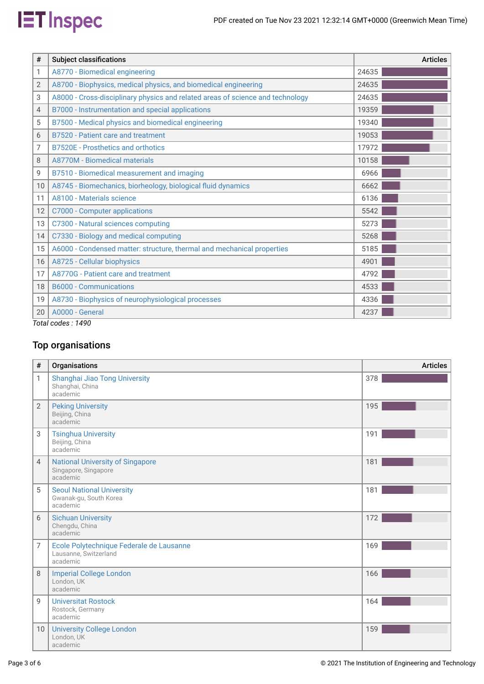

| #  | <b>Subject classifications</b>                                                 | <b>Articles</b> |
|----|--------------------------------------------------------------------------------|-----------------|
| 1  | A8770 - Biomedical engineering                                                 | 24635           |
| 2  | A8700 - Biophysics, medical physics, and biomedical engineering                | 24635           |
| 3  | A8000 - Cross-disciplinary physics and related areas of science and technology | 24635           |
| 4  | B7000 - Instrumentation and special applications                               | 19359           |
| 5  | B7500 - Medical physics and biomedical engineering                             | 19340           |
| 6  | B7520 - Patient care and treatment                                             | 19053           |
| 7  | <b>B7520E</b> - Prosthetics and orthotics                                      | 17972           |
| 8  | A8770M - Biomedical materials                                                  | 10158           |
| 9  | B7510 - Biomedical measurement and imaging                                     | 6966            |
| 10 | A8745 - Biomechanics, biorheology, biological fluid dynamics                   | 6662            |
| 11 | A8100 - Materials science                                                      | 6136            |
| 12 | C7000 - Computer applications                                                  | 5542            |
| 13 | C7300 - Natural sciences computing                                             | 5273            |
| 14 | C7330 - Biology and medical computing                                          | 5268            |
| 15 | A6000 - Condensed matter: structure, thermal and mechanical properties         | 5185            |
| 16 | A8725 - Cellular biophysics                                                    | 4901            |
| 17 | A8770G - Patient care and treatment                                            | 4792            |
| 18 | <b>B6000 - Communications</b>                                                  | 4533            |
| 19 | A8730 - Biophysics of neurophysiological processes                             | 4336            |
| 20 | A0000 - General                                                                | 4237            |
|    | Total codes : 1490                                                             |                 |

### Top organisations

| $\#$            | Organisations                                                                 | <b>Articles</b> |
|-----------------|-------------------------------------------------------------------------------|-----------------|
| 1               | Shanghai Jiao Tong University<br>Shanghai, China<br>academic                  | 378             |
| $\overline{2}$  | <b>Peking University</b><br>Beijing, China<br>academic                        | 195             |
| 3               | <b>Tsinghua University</b><br>Beijing, China<br>academic                      | 191             |
| $\overline{4}$  | <b>National University of Singapore</b><br>Singapore, Singapore<br>academic   | 181             |
| 5               | <b>Seoul National University</b><br>Gwanak-gu, South Korea<br>academic        | 181             |
| 6               | <b>Sichuan University</b><br>Chengdu, China<br>academic                       | 172             |
| 7               | Ecole Polytechnique Federale de Lausanne<br>Lausanne, Switzerland<br>academic | 169             |
| 8               | <b>Imperial College London</b><br>London, UK<br>academic                      | 166             |
| 9               | <b>Universitat Rostock</b><br>Rostock, Germany<br>academic                    | 164             |
| 10 <sup>°</sup> | <b>University College London</b><br>London, UK<br>academic                    | 159             |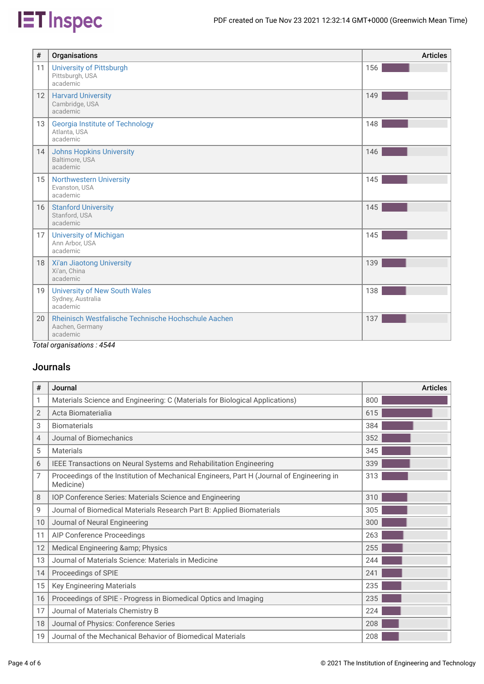# **IET** Inspec

| #               | Organisations                                                                      | <b>Articles</b> |
|-----------------|------------------------------------------------------------------------------------|-----------------|
| 11              | <b>University of Pittsburgh</b><br>Pittsburgh, USA<br>academic                     | 156             |
| 12              | <b>Harvard University</b><br>Cambridge, USA<br>academic                            | 149             |
| 13              | <b>Georgia Institute of Technology</b><br>Atlanta, USA<br>academic                 | 148             |
| 14              | <b>Johns Hopkins University</b><br>Baltimore, USA<br>academic                      | 146             |
| 15 <sup>1</sup> | <b>Northwestern University</b><br>Evanston, USA<br>academic                        | 145             |
| 16              | <b>Stanford University</b><br>Stanford, USA<br>academic                            | 145             |
| 17              | <b>University of Michigan</b><br>Ann Arbor, USA<br>academic                        | 145             |
| 18              | Xi'an Jiaotong University<br>Xi'an, China<br>academic                              | 139             |
| 19              | <b>University of New South Wales</b><br>Sydney, Australia<br>academic              | 138             |
| 20              | Rheinisch Westfalische Technische Hochschule Aachen<br>Aachen, Germany<br>academic | 137             |

*Total organisations : 4544*

### Journals

| #  | Journal                                                                                                | <b>Articles</b> |
|----|--------------------------------------------------------------------------------------------------------|-----------------|
| 1  | Materials Science and Engineering: C (Materials for Biological Applications)                           | 800             |
| 2  | Acta Biomaterialia                                                                                     | 615             |
| 3  | <b>Biomaterials</b>                                                                                    | 384             |
| 4  | Journal of Biomechanics                                                                                | 352             |
| 5  | Materials                                                                                              | 345             |
| 6  | IEEE Transactions on Neural Systems and Rehabilitation Engineering                                     | 339             |
| 7  | Proceedings of the Institution of Mechanical Engineers, Part H (Journal of Engineering in<br>Medicine) | 313             |
| 8  | IOP Conference Series: Materials Science and Engineering                                               | 310             |
| 9  | Journal of Biomedical Materials Research Part B: Applied Biomaterials                                  | 305             |
| 10 | Journal of Neural Engineering                                                                          | 300             |
| 11 | AIP Conference Proceedings                                                                             | 263             |
| 12 | Medical Engineering & Physics                                                                          | 255             |
| 13 | Journal of Materials Science: Materials in Medicine                                                    | 244             |
| 14 | Proceedings of SPIE                                                                                    | 241             |
| 15 | <b>Key Engineering Materials</b>                                                                       | 235             |
| 16 | Proceedings of SPIE - Progress in Biomedical Optics and Imaging                                        | 235             |
| 17 | Journal of Materials Chemistry B                                                                       | 224             |
| 18 | Journal of Physics: Conference Series                                                                  | 208             |
| 19 | Journal of the Mechanical Behavior of Biomedical Materials                                             | 208             |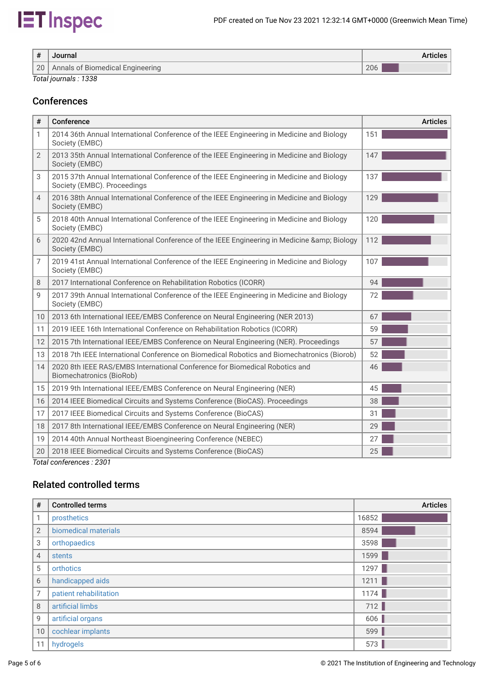## **IET** Inspec

| #  | Journal                          | <b>Articles</b> |
|----|----------------------------------|-----------------|
| 20 | Annals of Biomedical Engineering | 206             |

*Total journals : 1338*

### Conferences

| #              | Conference                                                                                                               | <b>Articles</b> |
|----------------|--------------------------------------------------------------------------------------------------------------------------|-----------------|
| 1              | 2014 36th Annual International Conference of the IEEE Engineering in Medicine and Biology<br>Society (EMBC)              | 151             |
| $\overline{2}$ | 2013 35th Annual International Conference of the IEEE Engineering in Medicine and Biology<br>Society (EMBC)              | 147             |
| 3              | 2015 37th Annual International Conference of the IEEE Engineering in Medicine and Biology<br>Society (EMBC). Proceedings | 137             |
| 4              | 2016 38th Annual International Conference of the IEEE Engineering in Medicine and Biology<br>Society (EMBC)              | 129             |
| 5              | 2018 40th Annual International Conference of the IEEE Engineering in Medicine and Biology<br>Society (EMBC)              | 120             |
| 6              | 2020 42nd Annual International Conference of the IEEE Engineering in Medicine & Biology<br>Society (EMBC)                | 112             |
| 7              | 2019 41st Annual International Conference of the IEEE Engineering in Medicine and Biology<br>Society (EMBC)              | 107             |
| 8              | 2017 International Conference on Rehabilitation Robotics (ICORR)                                                         | 94              |
| 9              | 2017 39th Annual International Conference of the IEEE Engineering in Medicine and Biology<br>Society (EMBC)              | 72              |
| 10             | 2013 6th International IEEE/EMBS Conference on Neural Engineering (NER 2013)                                             | 67              |
| 11             | 2019 IEEE 16th International Conference on Rehabilitation Robotics (ICORR)                                               | 59              |
| 12             | 2015 7th International IEEE/EMBS Conference on Neural Engineering (NER). Proceedings                                     | 57              |
| 13             | 2018 7th IEEE International Conference on Biomedical Robotics and Biomechatronics (Biorob)                               | 52              |
| 14             | 2020 8th IEEE RAS/EMBS International Conference for Biomedical Robotics and<br>Biomechatronics (BioRob)                  | 46              |
| 15             | 2019 9th International IEEE/EMBS Conference on Neural Engineering (NER)                                                  | 45              |
| 16             | 2014 IEEE Biomedical Circuits and Systems Conference (BioCAS). Proceedings                                               | 38              |
| 17             | 2017 IEEE Biomedical Circuits and Systems Conference (BioCAS)                                                            | 31              |
| 18             | 2017 8th International IEEE/EMBS Conference on Neural Engineering (NER)                                                  | 29              |
| 19             | 2014 40th Annual Northeast Bioengineering Conference (NEBEC)                                                             | 27              |
| 20             | 2018 IEEE Biomedical Circuits and Systems Conference (BioCAS)                                                            | 25              |

*Total conferences : 2301*

### Related controlled terms

| $\#$           | <b>Controlled terms</b> | <b>Articles</b> |
|----------------|-------------------------|-----------------|
| 1              | prosthetics             | 16852           |
| 2              | biomedical materials    | 8594            |
| 3              | orthopaedics            | 3598            |
| $\overline{4}$ | stents                  | 1599            |
| 5              | orthotics               | 1297            |
| 6              | handicapped aids        | 1211            |
| 7              | patient rehabilitation  | 1174            |
| 8              | artificial limbs        | 712             |
| 9              | artificial organs       | 606             |
| 10             | cochlear implants       | 599             |
| 11             | hydrogels               | 573             |